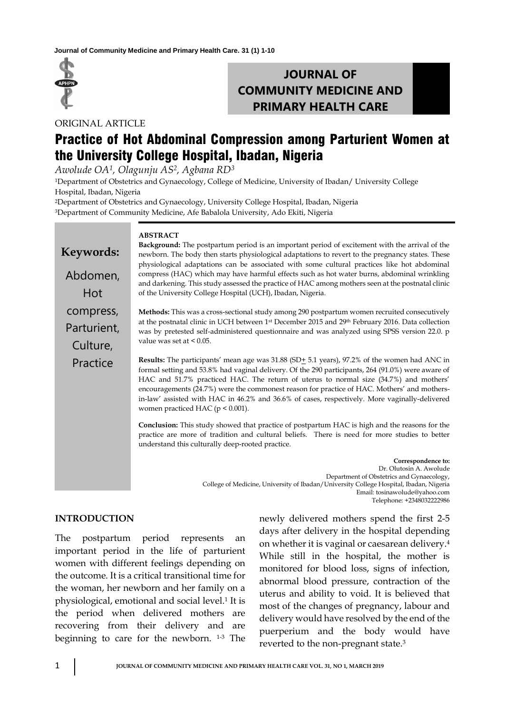

# **JOURNAL OF COMMUNITY MEDICINE AND PRIMARY HEALTH CARE**

ORIGINAL ARTICLE

# Practice of Hot Abdominal Compression among Parturient Women at the University College Hospital, Ibadan, Nigeria

*Awolude OA1, Olagunju AS2, Agbana RD<sup>3</sup>*

<sup>1</sup>Department of Obstetrics and Gynaecology, College of Medicine, University of Ibadan/ University College Hospital, Ibadan, Nigeria

<sup>2</sup>Department of Obstetrics and Gynaecology, University College Hospital, Ibadan, Nigeria <sup>3</sup>Department of Community Medicine, Afe Babalola University, Ado Ekiti, Nigeria

| Keywords:<br>Abdomen,<br>Hot         | <b>ABSTRACT</b><br>Background: The postpartum period is an important period of excitement with the arrival of the<br>newborn. The body then starts physiological adaptations to revert to the pregnancy states. These<br>physiological adaptations can be associated with some cultural practices like hot abdominal<br>compress (HAC) which may have harmful effects such as hot water burns, abdominal wrinkling<br>and darkening. This study assessed the practice of HAC among mothers seen at the postnatal clinic<br>of the University College Hospital (UCH), Ibadan, Nigeria. |
|--------------------------------------|---------------------------------------------------------------------------------------------------------------------------------------------------------------------------------------------------------------------------------------------------------------------------------------------------------------------------------------------------------------------------------------------------------------------------------------------------------------------------------------------------------------------------------------------------------------------------------------|
| compress,<br>Parturient,<br>Culture, | Methods: This was a cross-sectional study among 290 postpartum women recruited consecutively<br>at the postnatal clinic in UCH between 1 <sup>st</sup> December 2015 and 29 <sup>th</sup> February 2016. Data collection<br>was by pretested self-administered questionnaire and was analyzed using SPSS version 22.0. p<br>value was set at $\leq 0.05$ .                                                                                                                                                                                                                            |
| Practice                             | Results: The participants' mean age was 31.88 (SD+ 5.1 years), 97.2% of the women had ANC in<br>formal setting and 53.8% had vaginal delivery. Of the 290 participants, 264 (91.0%) were aware of<br>HAC and 51.7% practiced HAC. The return of uterus to normal size (34.7%) and mothers'<br>encouragements (24.7%) were the commonest reason for practice of HAC. Mothers' and mothers-<br>in-law' assisted with HAC in 46.2% and 36.6% of cases, respectively. More vaginally-delivered<br>women practiced HAC ( $p < 0.001$ ).                                                    |
|                                      | <b>Conclusion:</b> This study showed that practice of postpartum HAC is high and the reasons for the<br>practice are more of tradition and cultural beliefs. There is need for more studies to better<br>understand this culturally deep-rooted practice.                                                                                                                                                                                                                                                                                                                             |
|                                      | Correspondence to:<br>Dr. Olutosin A. Awolude<br>Department of Obstetrics and Gynaecology,<br>College of Medicine, University of Ibadan/University College Hospital, Ibadan, Nigeria<br>Email: tosinawolude@yahoo.com                                                                                                                                                                                                                                                                                                                                                                 |

### **INTRODUCTION**

The postpartum period represents an important period in the life of parturient women with different feelings depending on the outcome. It is a critical transitional time for the woman, her newborn and her family on a physiological, emotional and social level.<sup>1</sup> It is the period when delivered mothers are recovering from their delivery and are beginning to care for the newborn. 1-3 The newly delivered mothers spend the first 2-5 days after delivery in the hospital depending on whether it is vaginal or caesarean delivery.<sup>4</sup> While still in the hospital, the mother is monitored for blood loss, signs of infection, abnormal blood pressure, contraction of the uterus and ability to void. It is believed that most of the changes of pregnancy, labour and delivery would have resolved by the end of the puerperium and the body would have reverted to the non-pregnant state.<sup>3</sup>

Telephone: +2348032222986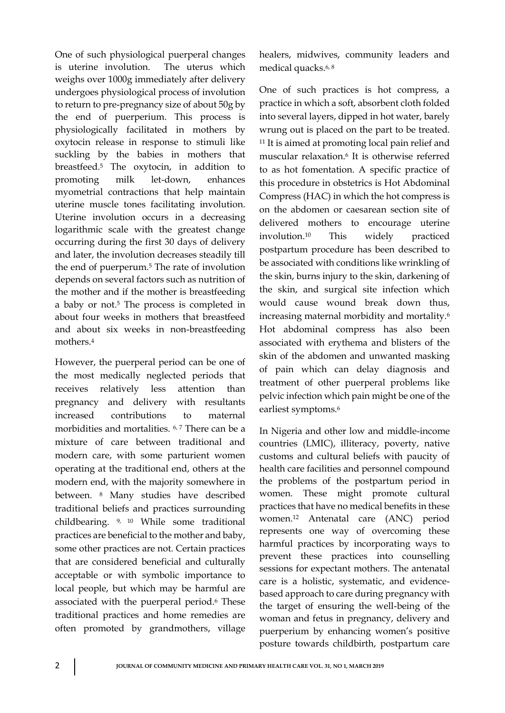One of such physiological puerperal changes is uterine involution. The uterus which weighs over 1000g immediately after delivery undergoes physiological process of involution to return to pre-pregnancy size of about 50g by the end of puerperium. This process is physiologically facilitated in mothers by oxytocin release in response to stimuli like suckling by the babies in mothers that breastfeed.<sup>5</sup> The oxytocin, in addition to promoting milk let-down, enhances myometrial contractions that help maintain uterine muscle tones facilitating involution. Uterine involution occurs in a decreasing logarithmic scale with the greatest change occurring during the first 30 days of delivery and later, the involution decreases steadily till the end of puerperum.<sup>5</sup> The rate of involution depends on several factors such as nutrition of the mother and if the mother is breastfeeding a baby or not.<sup>5</sup> The process is completed in about four weeks in mothers that breastfeed and about six weeks in non-breastfeeding mothers.<sup>4</sup>

However, the puerperal period can be one of the most medically neglected periods that receives relatively less attention than pregnancy and delivery with resultants increased contributions to maternal morbidities and mortalities. <sup>6, 7</sup> There can be a mixture of care between traditional and modern care, with some parturient women operating at the traditional end, others at the modern end, with the majority somewhere in between. <sup>8</sup> Many studies have described traditional beliefs and practices surrounding childbearing. 9, 10 While some traditional practices are beneficial to the mother and baby, some other practices are not. Certain practices that are considered beneficial and culturally acceptable or with symbolic importance to local people, but which may be harmful are associated with the puerperal period.<sup>6</sup> These traditional practices and home remedies are often promoted by grandmothers, village

healers, midwives, community leaders and medical quacks.6, 8

One of such practices is hot compress, a practice in which a soft, absorbent cloth folded into several layers, dipped in hot water, barely wrung out is placed on the part to be treated. <sup>11</sup> It is aimed at promoting local pain relief and muscular relaxation.<sup>6</sup> It is otherwise referred to as hot fomentation. A specific practice of this procedure in obstetrics is Hot Abdominal Compress (HAC) in which the hot compress is on the abdomen or caesarean section site of delivered mothers to encourage uterine involution.<sup>10</sup> This widely practiced postpartum procedure has been described to be associated with conditions like wrinkling of the skin, burns injury to the skin, darkening of the skin, and surgical site infection which would cause wound break down thus, increasing maternal morbidity and mortality.<sup>6</sup> Hot abdominal compress has also been associated with erythema and blisters of the skin of the abdomen and unwanted masking of pain which can delay diagnosis and treatment of other puerperal problems like pelvic infection which pain might be one of the earliest symptoms.<sup>6</sup>

In Nigeria and other low and middle-income countries (LMIC), illiteracy, poverty, native customs and cultural beliefs with paucity of health care facilities and personnel compound the problems of the postpartum period in women. These might promote cultural practices that have no medical benefits in these women.<sup>12</sup> Antenatal care (ANC) period represents one way of overcoming these harmful practices by incorporating ways to prevent these practices into counselling sessions for expectant mothers. The antenatal care is a holistic, systematic, and evidencebased approach to care during pregnancy with the target of ensuring the well-being of the woman and fetus in pregnancy, delivery and puerperium by enhancing women's positive posture towards childbirth, postpartum care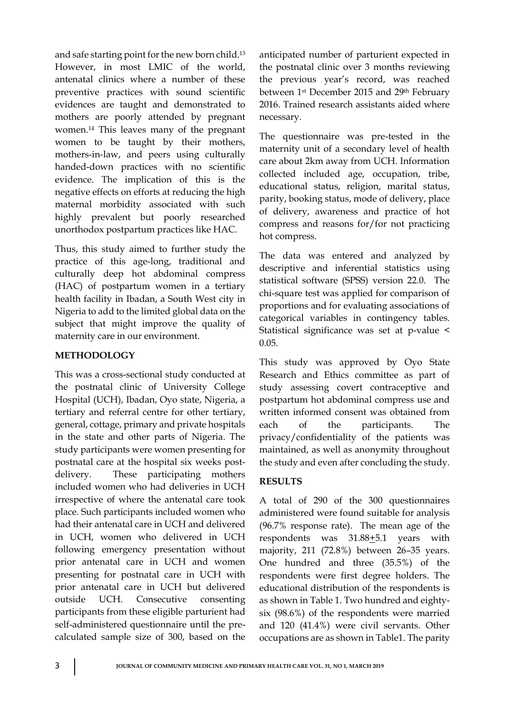and safe starting point for the new born child.<sup>13</sup> However, in most LMIC of the world, antenatal clinics where a number of these preventive practices with sound scientific evidences are taught and demonstrated to mothers are poorly attended by pregnant women.<sup>14</sup> This leaves many of the pregnant women to be taught by their mothers, mothers-in-law, and peers using culturally handed-down practices with no scientific evidence. The implication of this is the negative effects on efforts at reducing the high maternal morbidity associated with such highly prevalent but poorly researched unorthodox postpartum practices like HAC.

Thus, this study aimed to further study the practice of this age-long, traditional and culturally deep hot abdominal compress (HAC) of postpartum women in a tertiary health facility in Ibadan, a South West city in Nigeria to add to the limited global data on the subject that might improve the quality of maternity care in our environment.

## **METHODOLOGY**

This was a cross-sectional study conducted at the postnatal clinic of University College Hospital (UCH), Ibadan, Oyo state, Nigeria, a tertiary and referral centre for other tertiary, general, cottage, primary and private hospitals in the state and other parts of Nigeria. The study participants were women presenting for postnatal care at the hospital six weeks postdelivery. These participating mothers included women who had deliveries in UCH irrespective of where the antenatal care took place. Such participants included women who had their antenatal care in UCH and delivered in UCH, women who delivered in UCH following emergency presentation without prior antenatal care in UCH and women presenting for postnatal care in UCH with prior antenatal care in UCH but delivered outside UCH. Consecutive consenting participants from these eligible parturient had self-administered questionnaire until the precalculated sample size of 300, based on the

anticipated number of parturient expected in the postnatal clinic over 3 months reviewing the previous year's record, was reached between 1st December 2015 and 29th February 2016. Trained research assistants aided where necessary.

The questionnaire was pre-tested in the maternity unit of a secondary level of health care about 2km away from UCH. Information collected included age, occupation, tribe, educational status, religion, marital status, parity, booking status, mode of delivery, place of delivery, awareness and practice of hot compress and reasons for/for not practicing hot compress.

The data was entered and analyzed by descriptive and inferential statistics using statistical software (SPSS) version 22.0. The chi-square test was applied for comparison of proportions and for evaluating associations of categorical variables in contingency tables. Statistical significance was set at p-value < 0.05.

This study was approved by Oyo State Research and Ethics committee as part of study assessing covert contraceptive and postpartum hot abdominal compress use and written informed consent was obtained from each of the participants. The privacy/confidentiality of the patients was maintained, as well as anonymity throughout the study and even after concluding the study.

# **RESULTS**

A total of 290 of the 300 questionnaires administered were found suitable for analysis (96.7% response rate). The mean age of the respondents was 31.88+5.1 years with majority, 211 (72.8%) between 26–35 years. One hundred and three (35.5%) of the respondents were first degree holders. The educational distribution of the respondents is as shown in Table 1. Two hundred and eightysix (98.6%) of the respondents were married and 120 (41.4%) were civil servants. Other occupations are as shown in Table1. The parity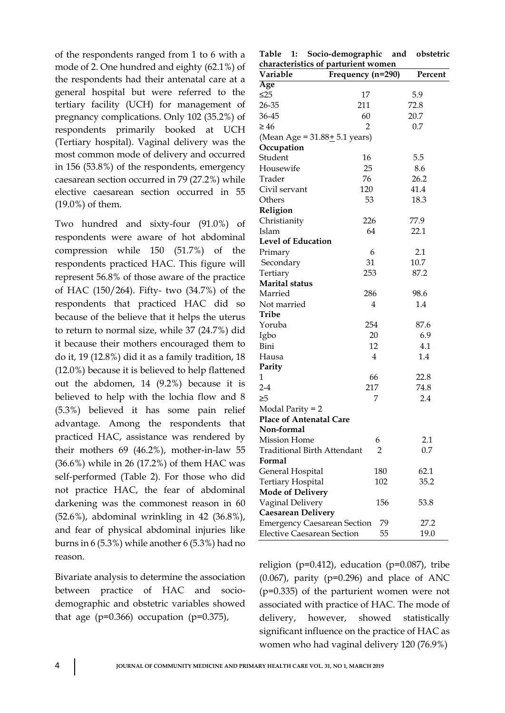of the respondents ranged from 1 to 6 with a mode of 2. One hundred and eighty (62.1%) of the respondents had their antenatal care at a general hospital but were referred to the tertiary facility (UCH) for management of pregnancy complications. Only 102 (35.2%) of respondents primarily booked at UCH (Tertiary hospital). Vaginal delivery was the most common mode of delivery and occurred in 156 (53.8%) of the respondents, emergency caesarean section occurred in 79 (27.2%) while elective caesarean section occurred in 55 (19.0%) of them.

Two hundred and sixty-four (91.0%) of respondents were aware of hot abdominal compression while 150 (51.7%) of the respondents practiced HAC. This figure will represent 56.8% of those aware of the practice of HAC (150/264). Fifty- two (34.7%) of the respondents that practiced HAC did so because of the believe that it helps the uterus to return to normal size, while 37 (24.7%) did it because their mothers encouraged them to do it, 19 (12.8%) did it as a family tradition, 18 (12.0%) because it is believed to help flattened out the abdomen, 14 (9.2%) because it is believed to help with the lochia flow and 8 (5.3%) believed it has some pain relief advantage. Among the respondents that practiced HAC, assistance was rendered by their mothers 69 (46.2%), mother-in-law 55 (36.6%) while in 26 (17.2%) of them HAC was self-performed (Table 2). For those who did not practice HAC, the fear of abdominal darkening was the commonest reason in 60 (52.6%), abdominal wrinkling in 42 (36.8%), and fear of physical abdominal injuries like burns in 6 (5.3%) while another 6 (5.3%) had no reason.

Bivariate analysis to determine the association between practice of HAC and sociodemographic and obstetric variables showed that age ( $p=0.366$ ) occupation ( $p=0.375$ ),

|                                     |  | Table 1: Socio-demographic and obstetric |  |  |  |  |
|-------------------------------------|--|------------------------------------------|--|--|--|--|
| characteristics of parturient women |  |                                          |  |  |  |  |

| Variable                           | characteristics of parturient women<br>Frequency (n=290) | Percent |
|------------------------------------|----------------------------------------------------------|---------|
| Age                                |                                                          |         |
| $\leq$ 25                          | 17                                                       | 5.9     |
| 26-35                              | 211                                                      | 72.8    |
| 36-45                              | 60                                                       | 20.7    |
| $\geq 46$                          | $\overline{2}$                                           | 0.7     |
| (Mean Age = $31.88 \pm 5.1$ years) |                                                          |         |
| Occupation                         |                                                          |         |
| Student                            | 16                                                       | 5.5     |
| Housewife                          | 25                                                       | 8.6     |
| Trader                             | 76                                                       | 26.2    |
| Civil servant                      | 120                                                      | 41.4    |
| Others                             | 53                                                       | 18.3    |
| Religion                           |                                                          |         |
| Christianity                       | 226                                                      | 77.9    |
| Islam                              | 64                                                       | 22.1    |
| <b>Level of Education</b>          |                                                          |         |
| Primary                            | 6                                                        | 2.1     |
| Secondary                          | 31                                                       | 10.7    |
| Tertiary                           | 253                                                      | 87.2    |
| <b>Marital</b> status              |                                                          |         |
| Married                            | 286                                                      | 98.6    |
| Not married                        | 4                                                        | 1.4     |
| Tribe                              |                                                          |         |
| Yoruba                             | 254                                                      | 87.6    |
| Igbo                               | 20                                                       | 6.9     |
| Bini                               | 12                                                       | 4.1     |
| Hausa                              | 4                                                        | 1.4     |
| Parity                             |                                                          |         |
| 1                                  | 66                                                       | 22.8    |
| $2-4$                              | 217                                                      | 74.8    |
| ≥5                                 | 7                                                        | 2.4     |
| Modal Parity = 2                   |                                                          |         |
| <b>Place of Antenatal Care</b>     |                                                          |         |
| Non-formal                         |                                                          |         |
| <b>Mission Home</b>                | 6                                                        | 2.1     |
| <b>Traditional Birth Attendant</b> | 2                                                        | 0.7     |
| Formal                             |                                                          |         |
| General Hospital                   | 180                                                      | 62.1    |
| Tertiary Hospital                  | 102                                                      | 35.2    |
| <b>Mode of Delivery</b>            |                                                          |         |
| Vaginal Delivery                   | 156                                                      | 53.8    |
| <b>Caesarean Delivery</b>          |                                                          |         |
| <b>Emergency Caesarean Section</b> | 79                                                       | 27.2    |
| <b>Elective Caesarean Section</b>  | 55                                                       | 19.0    |

religion ( $p=0.412$ ), education ( $p=0.087$ ), tribe  $(0.067)$ , parity  $(p=0.296)$  and place of ANC (p=0.335) of the parturient women were not associated with practice of HAC. The mode of delivery, however, showed statistically significant influence on the practice of HAC as women who had vaginal delivery 120 (76.9%)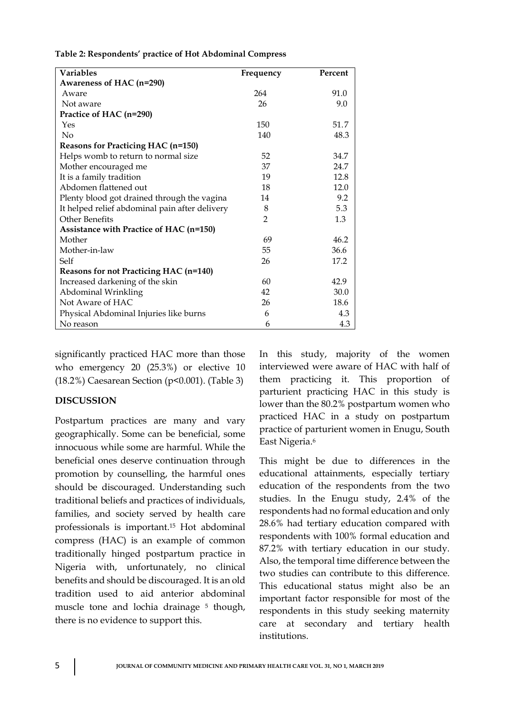| <b>Variables</b>                               | Frequency      | Percent |  |  |
|------------------------------------------------|----------------|---------|--|--|
| Awareness of HAC (n=290)                       |                |         |  |  |
| Aware                                          | 264            | 91.0    |  |  |
| Not aware                                      | 26             | 9.0     |  |  |
| Practice of HAC (n=290)                        |                |         |  |  |
| Yes                                            | 150            | 51.7    |  |  |
| N <sub>o</sub>                                 | 140            | 48.3    |  |  |
| Reasons for Practicing HAC (n=150)             |                |         |  |  |
| Helps womb to return to normal size            | 52             | 34.7    |  |  |
| Mother encouraged me                           | 37             | 24.7    |  |  |
| It is a family tradition                       | 19             | 12.8    |  |  |
| Abdomen flattened out                          | 18             | 12.0    |  |  |
| Plenty blood got drained through the vagina    | 14             | 9.2     |  |  |
| It helped relief abdominal pain after delivery | 8              | 5.3     |  |  |
| Other Benefits                                 | $\overline{2}$ | 1.3     |  |  |
| Assistance with Practice of HAC (n=150)        |                |         |  |  |
| Mother                                         | 69             | 46.2    |  |  |
| Mother-in-law                                  | 55             | 36.6    |  |  |
| Self                                           | 26             | 17.2    |  |  |
| Reasons for not Practicing HAC (n=140)         |                |         |  |  |
| Increased darkening of the skin                | 60             | 42.9    |  |  |
| Abdominal Wrinkling                            | 42             | 30.0    |  |  |
| Not Aware of HAC                               | 26             | 18.6    |  |  |
| Physical Abdominal Injuries like burns         | 6              | 4.3     |  |  |
| No reason                                      | 6              | 4.3     |  |  |

**Table 2: Respondents' practice of Hot Abdominal Compress**

significantly practiced HAC more than those who emergency 20 (25.3%) or elective 10 (18.2%) Caesarean Section (p<0.001). (Table 3)

### **DISCUSSION**

Postpartum practices are many and vary geographically. Some can be beneficial, some innocuous while some are harmful. While the beneficial ones deserve continuation through promotion by counselling, the harmful ones should be discouraged. Understanding such traditional beliefs and practices of individuals, families, and society served by health care professionals is important.<sup>15</sup> Hot abdominal compress (HAC) is an example of common traditionally hinged postpartum practice in Nigeria with, unfortunately, no clinical benefits and should be discouraged. It is an old tradition used to aid anterior abdominal muscle tone and lochia drainage <sup>5</sup> though, there is no evidence to support this.

In this study, majority of the women interviewed were aware of HAC with half of them practicing it. This proportion of parturient practicing HAC in this study is lower than the 80.2% postpartum women who practiced HAC in a study on postpartum practice of parturient women in Enugu, South East Nigeria.<sup>6</sup>

This might be due to differences in the educational attainments, especially tertiary education of the respondents from the two studies. In the Enugu study, 2.4% of the respondents had no formal education and only 28.6% had tertiary education compared with respondents with 100% formal education and 87.2% with tertiary education in our study. Also, the temporal time difference between the two studies can contribute to this difference. This educational status might also be an important factor responsible for most of the respondents in this study seeking maternity care at secondary and tertiary health institutions.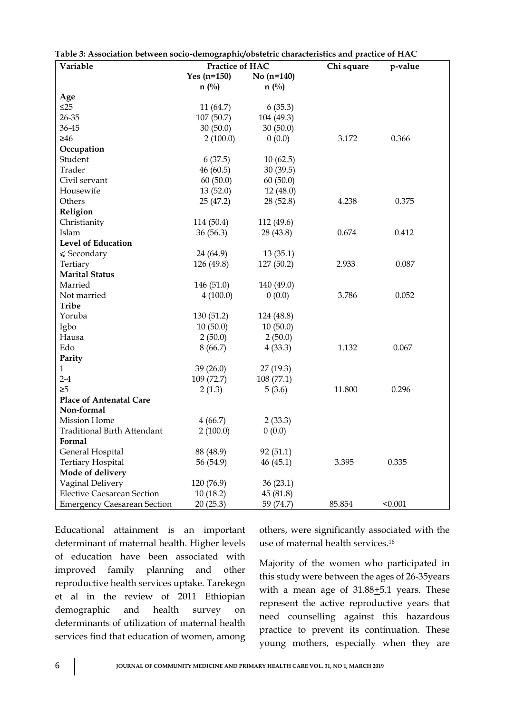| Variable                           | cen boeio acmographiq osbienie enanciembries ana p<br>Practice of HAC |                | Chi square | p-value |
|------------------------------------|-----------------------------------------------------------------------|----------------|------------|---------|
|                                    | Yes $(n=150)$                                                         | No $(n=140)$   |            |         |
|                                    | $n(^{0}/_{0})$                                                        | $n(^{0}/_{0})$ |            |         |
| Age                                |                                                                       |                |            |         |
| $\leq$ 25                          | 11(64.7)                                                              | 6(35.3)        |            |         |
| 26-35                              | 107(50.7)                                                             | 104 (49.3)     |            |         |
| 36-45                              | 30(50.0)                                                              | 30(50.0)       |            |         |
| $\geq 46$                          | 2(100.0)                                                              | 0(0.0)         | 3.172      | 0.366   |
| Occupation                         |                                                                       |                |            |         |
| Student                            | 6(37.5)                                                               | 10(62.5)       |            |         |
| Trader                             | 46(60.5)                                                              | 30(39.5)       |            |         |
| Civil servant                      | 60(50.0)                                                              | 60(50.0)       |            |         |
| Housewife                          | 13(52.0)                                                              | 12(48.0)       |            |         |
| Others                             | 25(47.2)                                                              | 28(52.8)       | 4.238      | 0.375   |
| Religion                           |                                                                       |                |            |         |
| Christianity                       | 114 (50.4)                                                            | 112 (49.6)     |            |         |
| Islam                              | 36(56.3)                                                              | 28 (43.8)      | 0.674      | 0.412   |
| <b>Level of Education</b>          |                                                                       |                |            |         |
| $\leqslant$ Secondary              | 24 (64.9)                                                             | 13(35.1)       |            |         |
| Tertiary                           | 126 (49.8)                                                            | 127 (50.2)     | 2.933      | 0.087   |
| <b>Marital Status</b>              |                                                                       |                |            |         |
| Married                            | 146(51.0)                                                             | 140 (49.0)     |            |         |
| Not married                        | 4(100.0)                                                              | 0(0.0)         | 3.786      | 0.052   |
| <b>Tribe</b>                       |                                                                       |                |            |         |
| Yoruba                             | 130 (51.2)                                                            | 124 (48.8)     |            |         |
| Igbo                               | 10(50.0)                                                              | 10(50.0)       |            |         |
| Hausa                              | 2(50.0)                                                               | 2(50.0)        |            |         |
| Edo                                | 8(66.7)                                                               | 4(33.3)        | 1.132      | 0.067   |
| Parity                             |                                                                       |                |            |         |
| $\mathbf{1}$                       | 39(26.0)                                                              | 27(19.3)       |            |         |
| $2-4$                              | 109(72.7)                                                             | 108(77.1)      |            |         |
| $\geq 5$                           | 2(1.3)                                                                | 5(3.6)         | 11.800     | 0.296   |
| <b>Place of Antenatal Care</b>     |                                                                       |                |            |         |
| Non-formal                         |                                                                       |                |            |         |
| <b>Mission Home</b>                | 4(66.7)                                                               | 2(33.3)        |            |         |
| <b>Traditional Birth Attendant</b> | 2(100.0)                                                              | 0(0.0)         |            |         |
| Formal                             |                                                                       |                |            |         |
| General Hospital                   | 88 (48.9)                                                             | 92(51.1)       |            |         |
| <b>Tertiary Hospital</b>           | 56 (54.9)                                                             | 46(45.1)       | 3.395      | 0.335   |
| Mode of delivery                   |                                                                       |                |            |         |
| Vaginal Delivery                   | 120 (76.9)                                                            | 36(23.1)       |            |         |
| <b>Elective Caesarean Section</b>  | 10(18.2)                                                              | 45(81.8)       |            |         |
| <b>Emergency Caesarean Section</b> | 20(25.3)                                                              | 59 (74.7)      | 85.854     | < 0.001 |

**Table 3: Association between socio-demographic/obstetric characteristics and practice of HAC**

Educational attainment is an important determinant of maternal health. Higher levels of education have been associated with improved family planning and other reproductive health services uptake. Tarekegn et al in the review of 2011 Ethiopian demographic and health survey on determinants of utilization of maternal health services find that education of women, among

others, were significantly associated with the use of maternal health services. 16

Majority of the women who participated in this study were between the ages of 26-35years with a mean age of  $31.88 \pm 5.1$  years. These represent the active reproductive years that need counselling against this hazardous practice to prevent its continuation. These young mothers, especially when they are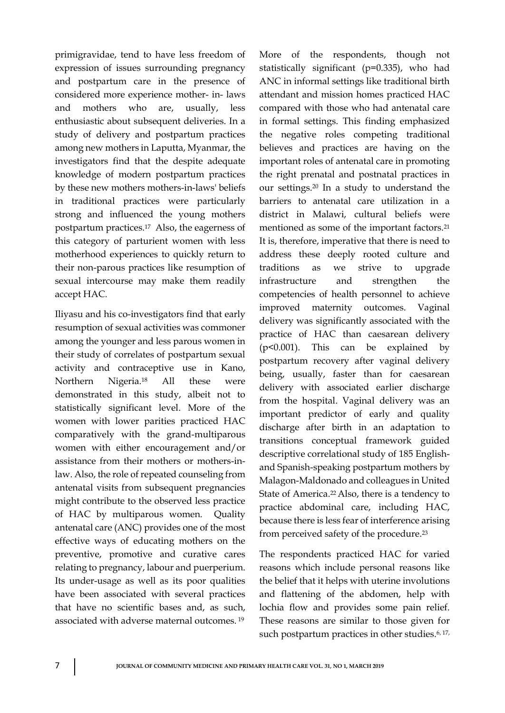primigravidae, tend to have less freedom of expression of issues surrounding pregnancy and postpartum care in the presence of considered more experience mother- in- laws and mothers who are, usually, less enthusiastic about subsequent deliveries. In a study of delivery and postpartum practices among new mothers in Laputta, Myanmar, the investigators find that the despite adequate knowledge of modern postpartum practices by these new mothers mothers-in-laws' beliefs in traditional practices were particularly strong and influenced the young mothers postpartum practices.17 Also, the eagerness of this category of parturient women with less motherhood experiences to quickly return to their non-parous practices like resumption of sexual intercourse may make them readily accept HAC.

Iliyasu and his co-investigators find that early resumption of sexual activities was commoner among the younger and less parous women in their study of correlates of postpartum sexual activity and contraceptive use in Kano, Northern Nigeria.<sup>18</sup> All these were demonstrated in this study, albeit not to statistically significant level. More of the women with lower parities practiced HAC comparatively with the grand-multiparous women with either encouragement and/or assistance from their mothers or mothers-inlaw. Also, the role of repeated counseling from antenatal visits from subsequent pregnancies might contribute to the observed less practice of HAC by multiparous women. Quality antenatal care (ANC) provides one of the most effective ways of educating mothers on the preventive, promotive and curative cares relating to pregnancy, labour and puerperium. Its under-usage as well as its poor qualities have been associated with several practices that have no scientific bases and, as such, associated with adverse maternal outcomes. <sup>19</sup>

More of the respondents, though not statistically significant (p=0.335), who had ANC in informal settings like traditional birth attendant and mission homes practiced HAC compared with those who had antenatal care in formal settings. This finding emphasized the negative roles competing traditional believes and practices are having on the important roles of antenatal care in promoting the right prenatal and postnatal practices in our settings. <sup>20</sup> In a study to understand the barriers to antenatal care utilization in a district in Malawi, cultural beliefs were mentioned as some of the important factors.<sup>21</sup> It is, therefore, imperative that there is need to address these deeply rooted culture and traditions as we strive to upgrade infrastructure and strengthen the competencies of health personnel to achieve improved maternity outcomes. Vaginal delivery was significantly associated with the practice of HAC than caesarean delivery (p<0.001). This can be explained by postpartum recovery after vaginal delivery being, usually, faster than for caesarean delivery with associated earlier discharge from the hospital. Vaginal delivery was an important predictor of early and quality discharge after birth in an adaptation to transitions conceptual framework guided descriptive correlational study of 185 Englishand Spanish-speaking postpartum mothers by Malagon-Maldonado and colleagues in United State of America.22 Also, there is a tendency to practice abdominal care, including HAC, because there is less fear of interference arising from perceived safety of the procedure.<sup>23</sup>

The respondents practiced HAC for varied reasons which include personal reasons like the belief that it helps with uterine involutions and flattening of the abdomen, help with lochia flow and provides some pain relief. These reasons are similar to those given for such postpartum practices in other studies.<sup>6, 17,</sup>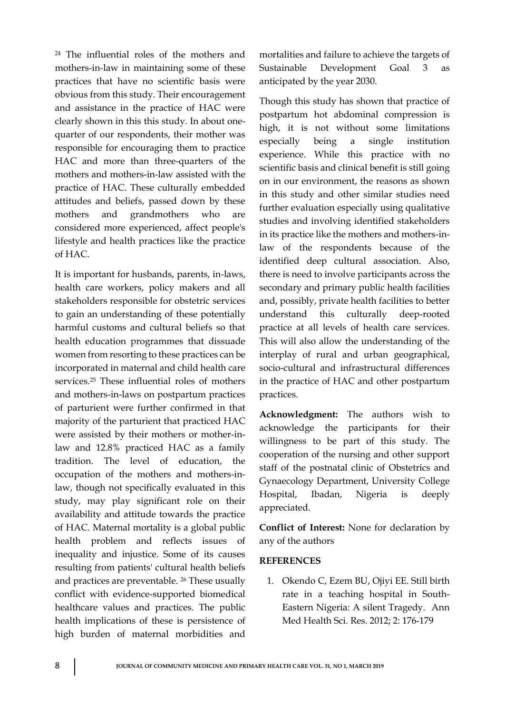<sup>24</sup> The influential roles of the mothers and mothers-in-law in maintaining some of these practices that have no scientific basis were obvious from this study. Their encouragement and assistance in the practice of HAC were clearly shown in this this study. In about onequarter of our respondents, their mother was responsible for encouraging them to practice HAC and more than three-quarters of the mothers and mothers-in-law assisted with the practice of HAC. These culturally embedded attitudes and beliefs, passed down by these mothers and grandmothers who are considered more experienced, affect people's lifestyle and health practices like the practice of HAC.

It is important for husbands, parents, in-laws, health care workers, policy makers and all stakeholders responsible for obstetric services to gain an understanding of these potentially harmful customs and cultural beliefs so that health education programmes that dissuade women from resorting to these practices can be incorporated in maternal and child health care services.<sup>25</sup> These influential roles of mothers and mothers-in-laws on postpartum practices of parturient were further confirmed in that majority of the parturient that practiced HAC were assisted by their mothers or mother-inlaw and 12.8% practiced HAC as a family tradition. The level of education, the occupation of the mothers and mothers-inlaw, though not specifically evaluated in this study, may play significant role on their availability and attitude towards the practice of HAC. Maternal mortality is a global public health problem and reflects issues of inequality and injustice. Some of its causes resulting from patients' cultural health beliefs and practices are preventable. <sup>26</sup> These usually conflict with evidence-supported biomedical healthcare values and practices. The public health implications of these is persistence of high burden of maternal morbidities and

mortalities and failure to achieve the targets of Sustainable Development Goal 3 as anticipated by the year 2030.

Though this study has shown that practice of postpartum hot abdominal compression is high, it is not without some limitations especially being a single institution experience. While this practice with no scientific basis and clinical benefit is still going on in our environment, the reasons as shown in this study and other similar studies need further evaluation especially using qualitative studies and involving identified stakeholders in its practice like the mothers and mothers-inlaw of the respondents because of the identified deep cultural association. Also, there is need to involve participants across the secondary and primary public health facilities and, possibly, private health facilities to better understand this culturally deep-rooted practice at all levels of health care services. This will also allow the understanding of the interplay of rural and urban geographical, socio-cultural and infrastructural differences in the practice of HAC and other postpartum practices.

**Acknowledgment:** The authors wish to acknowledge the participants for their willingness to be part of this study. The cooperation of the nursing and other support staff of the postnatal clinic of Obstetrics and Gynaecology Department, University College Hospital, Ibadan, Nigeria is deeply appreciated.

**Conflict of Interest:** None for declaration by any of the authors

### **REFERENCES**

1. Okendo C, Ezem BU, Ojiyi EE. Still birth rate in a teaching hospital in South-Eastern Nigeria: A silent Tragedy. Ann Med Health Sci. Res. 2012; 2: 176-179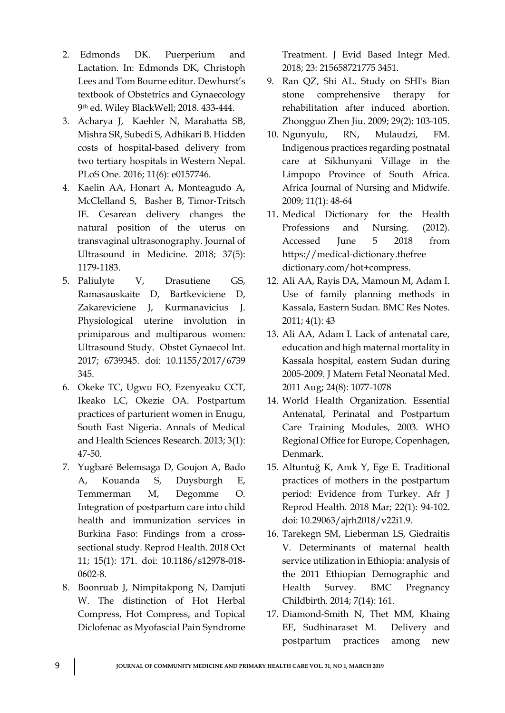- 2. Edmonds DK. Puerperium and Lactation. In: Edmonds DK, Christoph Lees and Tom Bourne editor. Dewhurst's textbook of Obstetrics and Gynaecology 9th ed. Wiley BlackWell; 2018. 433-444.
- 3. [Acharya](https://www.ncbi.nlm.nih.gov/pubmed/?term=Acharya%20J%5BAuthor%5D&cauthor=true&cauthor_uid=27308836) J, [Kaehler](https://www.ncbi.nlm.nih.gov/pubmed/?term=Kaehler%20N%5BAuthor%5D&cauthor=true&cauthor_uid=27308836) N, [Marahatta](https://www.ncbi.nlm.nih.gov/pubmed/?term=Marahatta%20SB%5BAuthor%5D&cauthor=true&cauthor_uid=27308836) SB, [Mishra](https://www.ncbi.nlm.nih.gov/pubmed/?term=Mishra%20SR%5BAuthor%5D&cauthor=true&cauthor_uid=27308836) SR, [Subedi](https://www.ncbi.nlm.nih.gov/pubmed/?term=Subedi%20S%5BAuthor%5D&cauthor=true&cauthor_uid=27308836) S, [Adhikari](https://www.ncbi.nlm.nih.gov/pubmed/?term=Adhikari%20B%5BAuthor%5D&cauthor=true&cauthor_uid=27308836) B. Hidden costs of hospital-based delivery from two tertiary hospitals in Western Nepal. [PLoS One.](https://www.ncbi.nlm.nih.gov/pmc/articles/PMC4911061/) 2016; 11(6): e0157746.
- 4. Kaelin AA, Honart A, Monteagudo A, McClelland S, Basher B, Timor‐Tritsch IE. Cesarean delivery changes the natural position of the uterus on transvaginal ultrasonography. Journal of Ultrasound in Medicine. 2018; 37(5): 1179-1183.
- 5. Paliulyte V, Drasutiene GS, Ramasauskaite D, Bartkeviciene D, Zakareviciene J, Kurmanavicius J. Physiological uterine involution in primiparous and multiparous women: Ultrasound Study. [Obstet Gynaecol Int.](https://www.ncbi.nlm.nih.gov/pubmed/?term=Physiological+Uterine+Involution+in+Primiparous+and+Multiparous+Women%3A+Ultrasound+Study) 2017; 6739345. doi: 10.1155/2017/6739 345.
- 6. Okeke TC, Ugwu EO, Ezenyeaku CCT, Ikeako LC, Okezie OA. Postpartum practices of parturient women in Enugu, South East Nigeria. Annals of Medical and Health Sciences Research. 2013; 3(1): 47-50.
- 7. [Yugbaré Belemsaga D,](https://www.ncbi.nlm.nih.gov/pubmed/?term=Yugbar%C3%A9%20Belemsaga%20D%5BAuthor%5D&cauthor=true&cauthor_uid=30305123) [Goujon A,](https://www.ncbi.nlm.nih.gov/pubmed/?term=Goujon%20A%5BAuthor%5D&cauthor=true&cauthor_uid=30305123) [Bado](https://www.ncbi.nlm.nih.gov/pubmed/?term=Bado%20A%5BAuthor%5D&cauthor=true&cauthor_uid=30305123)  [A,](https://www.ncbi.nlm.nih.gov/pubmed/?term=Bado%20A%5BAuthor%5D&cauthor=true&cauthor_uid=30305123) [Kouanda S,](https://www.ncbi.nlm.nih.gov/pubmed/?term=Kouanda%20S%5BAuthor%5D&cauthor=true&cauthor_uid=30305123) [Duysburgh E,](https://www.ncbi.nlm.nih.gov/pubmed/?term=Duysburgh%20E%5BAuthor%5D&cauthor=true&cauthor_uid=30305123) [Temmerman M,](https://www.ncbi.nlm.nih.gov/pubmed/?term=Temmerman%20M%5BAuthor%5D&cauthor=true&cauthor_uid=30305123) [Degomme O.](https://www.ncbi.nlm.nih.gov/pubmed/?term=Degomme%20O%5BAuthor%5D&cauthor=true&cauthor_uid=30305123) Integration of postpartum care into child health and immunization services in Burkina Faso: Findings from a crosssectional study. [Reprod Health.](https://www.ncbi.nlm.nih.gov/pubmed/30305123) 2018 Oct 11; 15(1): 171. doi: 10.1186/s12978-018- 0602-8.
- 8. [Boonruab](https://www.ncbi.nlm.nih.gov/pubmed/?term=Boonruab%20J%5BAuthor%5D&cauthor=true&cauthor_uid=29405762) J, [Nimpitakpong](https://www.ncbi.nlm.nih.gov/pubmed/?term=Nimpitakpong%20N%5BAuthor%5D&cauthor=true&cauthor_uid=29405762) N, [Damjuti](https://www.ncbi.nlm.nih.gov/pubmed/?term=Damjuti%20W%5BAuthor%5D&cauthor=true&cauthor_uid=29405762) W. The distinction of Hot Herbal Compress, Hot Compress, and Topical Diclofenac as Myofascial Pain Syndrome

Treatment. [J Evid Based Integr Med.](https://www.ncbi.nlm.nih.gov/pmc/articles/PMC5871049/) 2018; 23: 215658721775 3451.

- 9. [Ran QZ,](https://www.ncbi.nlm.nih.gov/pubmed/?term=Ran%20QZ%5BAuthor%5D&cauthor=true&cauthor_uid=19391531) [Shi AL.](https://www.ncbi.nlm.nih.gov/pubmed/?term=Shi%20AL%5BAuthor%5D&cauthor=true&cauthor_uid=19391531) Study on SHI's Bian stone comprehensive therapy for rehabilitation after induced abortion. [Zhongguo Zhen Jiu.](https://www.ncbi.nlm.nih.gov/pubmed/19391531) 2009; 29(2): 103-105.
- 10. Ngunyulu, RN, Mulaudzi, FM. Indigenous practices regarding postnatal care at Sikhunyani Village in the Limpopo Province of South Africa. Africa Journal of Nursing and Midwife. 2009; 11(1): 48-64
- 11. Medical Dictionary for the Health Professions and Nursing. (2012). Accessed June 5 2018 from https://medical-dictionary.thefree dictionary.com/hot+compress.
- 12. Ali AA, Rayis DA, Mamoun M, Adam I. Use of family planning methods in Kassala, Eastern Sudan. BMC Res Notes. 2011; 4(1): 43
- 13. Ali AA, Adam I. Lack of antenatal care, education and high maternal mortality in Kassala hospital, eastern Sudan during 2005-2009. [J Matern Fetal Neonatal Med.](https://www.ncbi.nlm.nih.gov/pubmed/?term=Lack+of+antenatal+care%2C+education+and+high+maternal+mortality+in+Kassala+hospital%2C+eastern+Sudan+during+2005-2009) 2011 Aug; 24(8): 1077-1078
- 14. World Health Organization. Essential Antenatal, Perinatal and Postpartum Care Training Modules, 2003. WHO Regional Office for Europe, Copenhagen, Denmark.
- 15. [Altuntuğ K](https://www.ncbi.nlm.nih.gov/pubmed/?term=Altuntu%C4%9F%20K%5BAuthor%5D&cauthor=true&cauthor_uid=29777646), [Anık Y](https://www.ncbi.nlm.nih.gov/pubmed/?term=An%C4%B1k%20Y%5BAuthor%5D&cauthor=true&cauthor_uid=29777646), [Ege E.](https://www.ncbi.nlm.nih.gov/pubmed/?term=Ege%20E%5BAuthor%5D&cauthor=true&cauthor_uid=29777646) Traditional practices of mothers in the postpartum period: Evidence from Turkey. [Afr J](https://www.ncbi.nlm.nih.gov/pubmed/29777646)  [Reprod Health.](https://www.ncbi.nlm.nih.gov/pubmed/29777646) 2018 Mar; 22(1): 94-102. doi: 10.29063/ajrh2018/v22i1.9.
- 16. [Tarekegn SM,](https://www.ncbi.nlm.nih.gov/pubmed/?term=Tarekegn%20SM%5BAuthor%5D&cauthor=true&cauthor_uid=24886529) [Lieberman LS,](https://www.ncbi.nlm.nih.gov/pubmed/?term=Lieberman%20LS%5BAuthor%5D&cauthor=true&cauthor_uid=24886529) [Giedraitis](https://www.ncbi.nlm.nih.gov/pubmed/?term=Giedraitis%20V%5BAuthor%5D&cauthor=true&cauthor_uid=24886529)  [V.](https://www.ncbi.nlm.nih.gov/pubmed/?term=Giedraitis%20V%5BAuthor%5D&cauthor=true&cauthor_uid=24886529) Determinants of maternal health service utilization in Ethiopia: analysis of the 2011 Ethiopian Demographic and Health Survey. [BMC Pregnancy](https://www.ncbi.nlm.nih.gov/pubmed/24886529)  [Childbirth.](https://www.ncbi.nlm.nih.gov/pubmed/24886529) 2014; 7(14): 161.
- 17. [Diamond-Smith N,](https://www.ncbi.nlm.nih.gov/pubmed/?term=Diamond-Smith%20N%5BAuthor%5D&cauthor=true&cauthor_uid=27212423) [Thet MM,](https://www.ncbi.nlm.nih.gov/pubmed/?term=Thet%20MM%5BAuthor%5D&cauthor=true&cauthor_uid=27212423) [Khaing](https://www.ncbi.nlm.nih.gov/pubmed/?term=Khaing%20EE%5BAuthor%5D&cauthor=true&cauthor_uid=27212423)  [EE,](https://www.ncbi.nlm.nih.gov/pubmed/?term=Khaing%20EE%5BAuthor%5D&cauthor=true&cauthor_uid=27212423) [Sudhinaraset M.](https://www.ncbi.nlm.nih.gov/pubmed/?term=Sudhinaraset%20M%5BAuthor%5D&cauthor=true&cauthor_uid=27212423) Delivery and postpartum practices among new